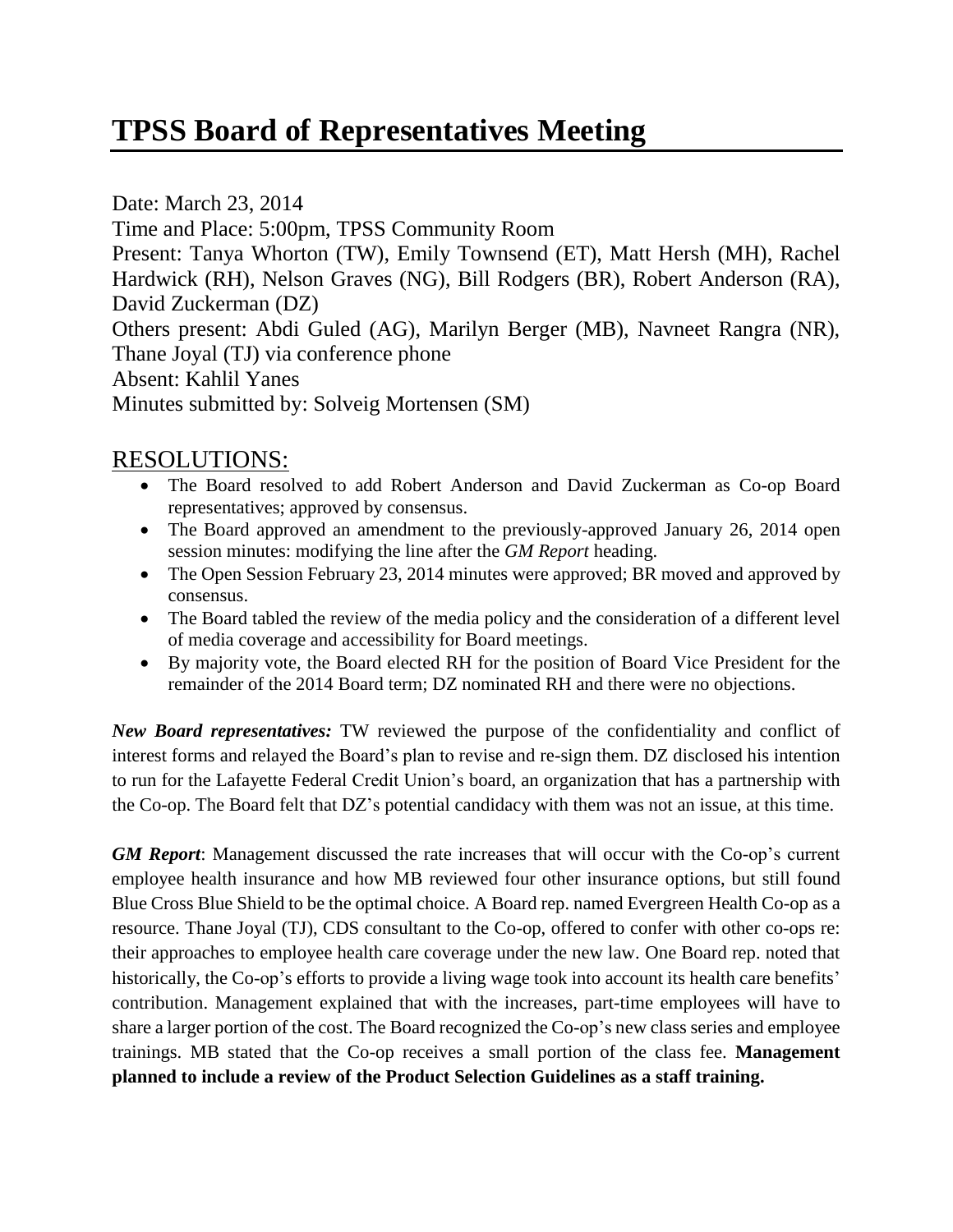## **TPSS Board of Representatives Meeting**

Date: March 23, 2014 Time and Place: 5:00pm, TPSS Community Room Present: Tanya Whorton (TW), Emily Townsend (ET), Matt Hersh (MH), Rachel Hardwick (RH), Nelson Graves (NG), Bill Rodgers (BR), Robert Anderson (RA), David Zuckerman (DZ) Others present: Abdi Guled (AG), Marilyn Berger (MB), Navneet Rangra (NR), Thane Joyal (TJ) via conference phone Absent: Kahlil Yanes Minutes submitted by: Solveig Mortensen (SM)

## RESOLUTIONS:

- The Board resolved to add Robert Anderson and David Zuckerman as Co-op Board representatives; approved by consensus.
- The Board approved an amendment to the previously-approved January 26, 2014 open session minutes: modifying the line after the *GM Report* heading.
- The Open Session February 23, 2014 minutes were approved; BR moved and approved by consensus.
- The Board tabled the review of the media policy and the consideration of a different level of media coverage and accessibility for Board meetings.
- By majority vote, the Board elected RH for the position of Board Vice President for the remainder of the 2014 Board term; DZ nominated RH and there were no objections.

*New Board representatives:* TW reviewed the purpose of the confidentiality and conflict of interest forms and relayed the Board's plan to revise and re-sign them. DZ disclosed his intention to run for the Lafayette Federal Credit Union's board, an organization that has a partnership with the Co-op. The Board felt that DZ's potential candidacy with them was not an issue, at this time.

*GM Report*: Management discussed the rate increases that will occur with the Co-op's current employee health insurance and how MB reviewed four other insurance options, but still found Blue Cross Blue Shield to be the optimal choice. A Board rep. named Evergreen Health Co-op as a resource. Thane Joyal (TJ), CDS consultant to the Co-op, offered to confer with other co-ops re: their approaches to employee health care coverage under the new law. One Board rep. noted that historically, the Co-op's efforts to provide a living wage took into account its health care benefits' contribution. Management explained that with the increases, part-time employees will have to share a larger portion of the cost. The Board recognized the Co-op's new class series and employee trainings. MB stated that the Co-op receives a small portion of the class fee. **Management planned to include a review of the Product Selection Guidelines as a staff training.**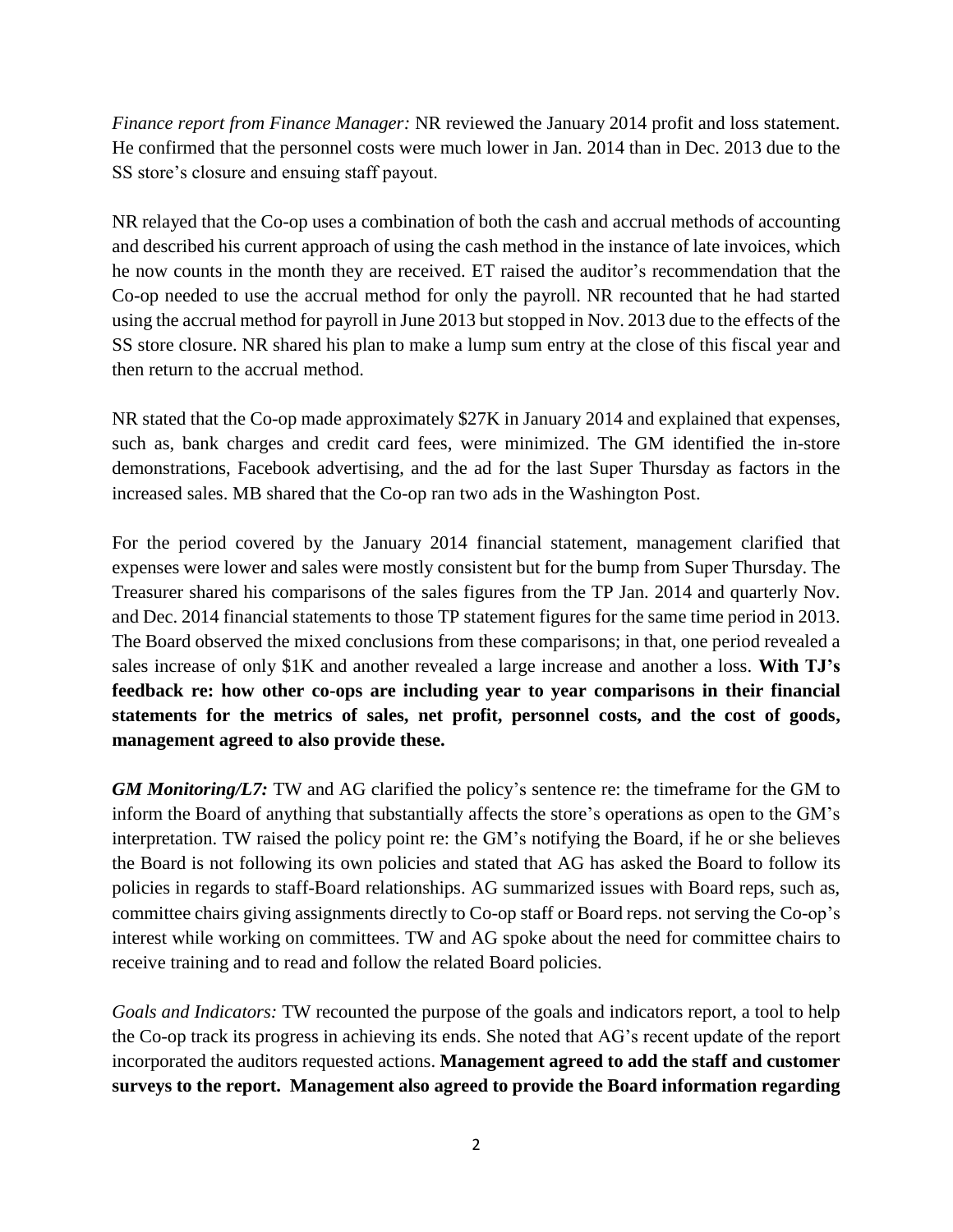*Finance report from Finance Manager:* NR reviewed the January 2014 profit and loss statement. He confirmed that the personnel costs were much lower in Jan. 2014 than in Dec. 2013 due to the SS store's closure and ensuing staff payout.

NR relayed that the Co-op uses a combination of both the cash and accrual methods of accounting and described his current approach of using the cash method in the instance of late invoices, which he now counts in the month they are received. ET raised the auditor's recommendation that the Co-op needed to use the accrual method for only the payroll. NR recounted that he had started using the accrual method for payroll in June 2013 but stopped in Nov. 2013 due to the effects of the SS store closure. NR shared his plan to make a lump sum entry at the close of this fiscal year and then return to the accrual method.

NR stated that the Co-op made approximately \$27K in January 2014 and explained that expenses, such as, bank charges and credit card fees, were minimized. The GM identified the in-store demonstrations, Facebook advertising, and the ad for the last Super Thursday as factors in the increased sales. MB shared that the Co-op ran two ads in the Washington Post.

For the period covered by the January 2014 financial statement, management clarified that expenses were lower and sales were mostly consistent but for the bump from Super Thursday. The Treasurer shared his comparisons of the sales figures from the TP Jan. 2014 and quarterly Nov. and Dec. 2014 financial statements to those TP statement figures for the same time period in 2013. The Board observed the mixed conclusions from these comparisons; in that, one period revealed a sales increase of only \$1K and another revealed a large increase and another a loss. **With TJ's feedback re: how other co-ops are including year to year comparisons in their financial statements for the metrics of sales, net profit, personnel costs, and the cost of goods, management agreed to also provide these.**

*GM Monitoring/L7:* TW and AG clarified the policy's sentence re: the timeframe for the GM to inform the Board of anything that substantially affects the store's operations as open to the GM's interpretation. TW raised the policy point re: the GM's notifying the Board, if he or she believes the Board is not following its own policies and stated that AG has asked the Board to follow its policies in regards to staff-Board relationships. AG summarized issues with Board reps, such as, committee chairs giving assignments directly to Co-op staff or Board reps. not serving the Co-op's interest while working on committees. TW and AG spoke about the need for committee chairs to receive training and to read and follow the related Board policies.

*Goals and Indicators:* TW recounted the purpose of the goals and indicators report, a tool to help the Co-op track its progress in achieving its ends. She noted that AG's recent update of the report incorporated the auditors requested actions. **Management agreed to add the staff and customer surveys to the report. Management also agreed to provide the Board information regarding**